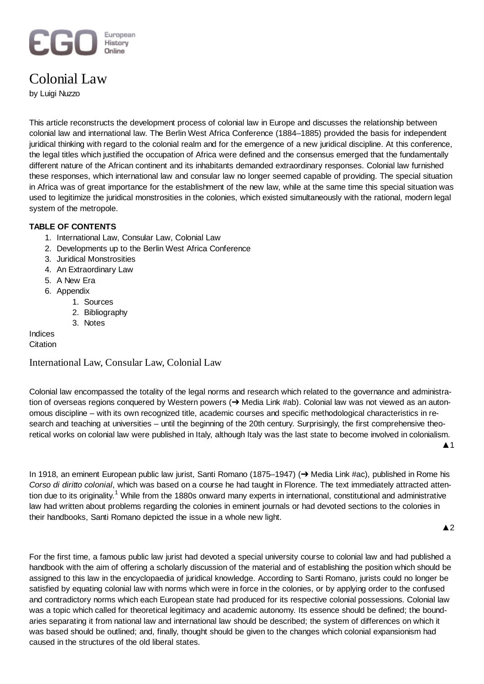#### European EGI History Online

# Colonial Law

by Luigi Nuzzo

This article reconstructs the development process of colonial law in Europe and discusses the relationship between colonial law and international law. The Berlin West Africa Conference (1884–1885) provided the basis for independent juridical thinking with regard to the colonial realm and for the emergence of a new juridical discipline. At this conference, the legal titles which justified the occupation of Africa were defined and the consensus emerged that the fundamentally different nature of the African continent and its inhabitants demanded extraordinary responses. Colonial law furnished these responses, which international law and consular law no longer seemed capable of providing. The special situation in Africa was of great importance for the establishment of the new law, while at the same time this special situation was used to legitimize the juridical monstrosities in the colonies, which existed simultaneously with the rational, modern legal system of the metropole.

# **TABLE OF CONTENTS**

- 1. International Law, Consular Law, Colonial Law
- 2. Developments up to the Berlin West Africa Conference
- 3. Juridical Monstrosities
- 4. An Extraordinary Law
- 5. A New Era
- 6. Appendix
	- 1. Sources
	- 2. Bibliography
	- 3. Notes

Indices

**Citation** 

# International Law, Consular Law, Colonial Law

Colonial law encompassed the totality of the legal norms and research which related to the governance and administration of overseas regions conquered by Western powers (→ Media Link #ab). Colonial law was not viewed as an autonomous discipline – with its own recognized title, academic courses and specific methodological characteristics in research and teaching at universities – until the beginning of the 20th century. Surprisingly, the first comprehensive theoretical works on colonial law were published in Italy, although Italy was the last state to become involved in colonialism.

In 1918, an eminent European public law jurist, Santi Romano (1875–1947) (→ Media Link #ac), published in Rome his *Corso di diritto colonial*, which was based on a course he had taught in Florence. The text immediately attracted attention due to its originality.<sup>1</sup> While from the 1880s onward many experts in international, constitutional and administrative law had written about problems regarding the colonies in eminent journals or had devoted sections to the colonies in their handbooks, Santi Romano depicted the issue in a whole new light.

 $\triangle$  2

 $\blacktriangle$  1

For the first time, a famous public law jurist had devoted a special university course to colonial law and had published a handbook with the aim of offering a scholarly discussion of the material and of establishing the position which should be assigned to this law in the encyclopaedia of juridical knowledge. According to Santi Romano, jurists could no longer be satisfied by equating colonial law with norms which were in force in the colonies, or by applying order to the confused and contradictory norms which each European state had produced for its respective colonial possessions. Colonial law was a topic which called for theoretical legitimacy and academic autonomy. Its essence should be defined; the boundaries separating it from national law and international law should be described; the system of differences on which it was based should be outlined; and, finally, thought should be given to the changes which colonial expansionism had caused in the structures of the old liberal states.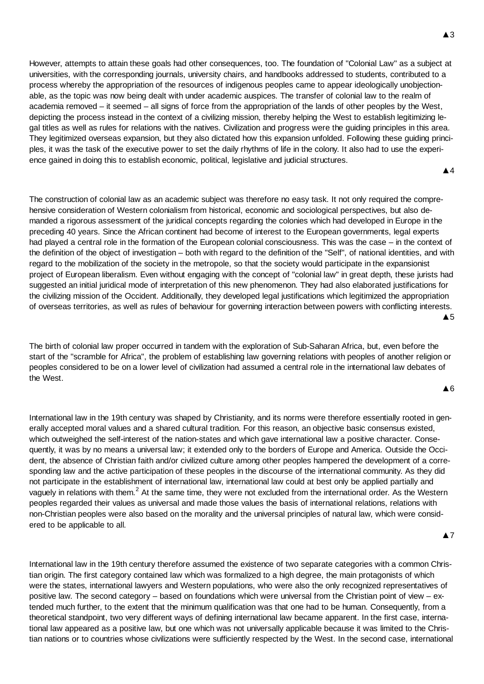However, attempts to attain these goals had other consequences, too. The foundation of "Colonial Law" as a subject at universities, with the corresponding journals, university chairs, and handbooks addressed to students, contributed to a process whereby the appropriation of the resources of indigenous peoples came to appear ideologically unobjectionable, as the topic was now being dealt with under academic auspices. The transfer of colonial law to the realm of academia removed – it seemed – all signs of force from the appropriation of the lands of other peoples by the West, depicting the process instead in the context of a civilizing mission, thereby helping the West to establish legitimizing legal titles as well as rules for relations with the natives. Civilization and progress were the guiding principles in this area. They legitimized overseas expansion, but they also dictated how this expansion unfolded. Following these guiding principles, it was the task of the executive power to set the daily rhythms of life in the colony. It also had to use the experience gained in doing this to establish economic, political, legislative and judicial structures.

Ÿ4

The construction of colonial law as an academic subject was therefore no easy task. It not only required the comprehensive consideration of Western colonialism from historical, economic and sociological perspectives, but also demanded a rigorous assessment of the juridical concepts regarding the colonies which had developed in Europe in the preceding 40 years. Since the African continent had become of interest to the European governments, legal experts had played a central role in the formation of the European colonial consciousness. This was the case – in the context of the definition of the object of investigation – both with regard to the definition of the "Self", of national identities, and with regard to the mobilization of the society in the metropole, so that the society would participate in the expansionist project of European liberalism. Even without engaging with the concept of "colonial law" in great depth, these jurists had suggested an initial juridical mode of interpretation of this new phenomenon. They had also elaborated justifications for the civilizing mission of the Occident. Additionally, they developed legal justifications which legitimized the appropriation of overseas territories, as well as rules of behaviour for governing interaction between powers with conflicting interests.  $\triangle$  5

The birth of colonial law proper occurred in tandem with the exploration of Sub-Saharan Africa, but, even before the start of the "scramble for Africa", the problem of establishing law governing relations with peoples of another religion or peoples considered to be on a lower level of civilization had assumed a central role in the international law debates of the West.

 $\triangle$  6

International law in the 19th century was shaped by Christianity, and its norms were therefore essentially rooted in generally accepted moral values and a shared cultural tradition. For this reason, an objective basic consensus existed, which outweighed the self-interest of the nation-states and which gave international law a positive character. Consequently, it was by no means a universal law; it extended only to the borders of Europe and America. Outside the Occident, the absence of Christian faith and/or civilized culture among other peoples hampered the development of a corresponding law and the active participation of these peoples in the discourse of the international community. As they did not participate in the establishment of international law, international law could at best only be applied partially and vaguely in relations with them.<sup>2</sup> At the same time, they were not excluded from the international order. As the Western peoples regarded their values as universal and made those values the basis of international relations, relations with non-Christian peoples were also based on the morality and the universal principles of natural law, which were considered to be applicable to all.

**A7** 

International law in the 19th century therefore assumed the existence of two separate categories with a common Christian origin. The first category contained law which was formalized to a high degree, the main protagonists of which were the states, international lawyers and Western populations, who were also the only recognized representatives of positive law. The second category – based on foundations which were universal from the Christian point of view – extended much further, to the extent that the minimum qualification was that one had to be human. Consequently, from a theoretical standpoint, two very different ways of defining international law became apparent. In the first case, international law appeared as a positive law, but one which was not universally applicable because it was limited to the Christian nations or to countries whose civilizations were sufficiently respected by the West. In the second case, international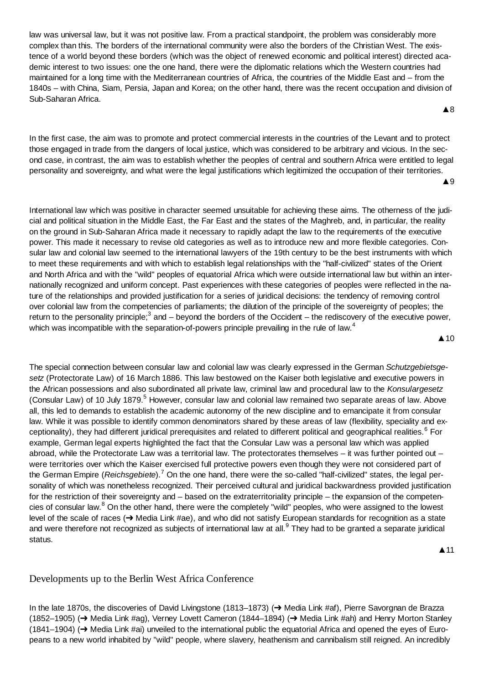law was universal law, but it was not positive law. From a practical standpoint, the problem was considerably more complex than this. The borders of the international community were also the borders of the Christian West. The existence of a world beyond these borders (which was the object of renewed economic and political interest) directed academic interest to two issues: one the one hand, there were the diplomatic relations which the Western countries had maintained for a long time with the Mediterranean countries of Africa, the countries of the Middle East and – from the 1840s – with China, Siam, Persia, Japan and Korea; on the other hand, there was the recent occupation and division of Sub-Saharan Africa.

In the first case, the aim was to promote and protect commercial interests in the countries of the Levant and to protect those engaged in trade from the dangers of local justice, which was considered to be arbitrary and vicious. In the second case, in contrast, the aim was to establish whether the peoples of central and southern Africa were entitled to legal personality and sovereignty, and what were the legal justifications which legitimized the occupation of their territories.

**▲**9

**A**8

International law which was positive in character seemed unsuitable for achieving these aims. The otherness of the judicial and political situation in the Middle East, the Far East and the states of the Maghreb, and, in particular, the reality on the ground in Sub-Saharan Africa made it necessary to rapidly adapt the law to the requirements of the executive power. This made it necessary to revise old categories as well as to introduce new and more flexible categories. Consular law and colonial law seemed to the international lawyers of the 19th century to be the best instruments with which to meet these requirements and with which to establish legal relationships with the "half-civilized" states of the Orient and North Africa and with the "wild" peoples of equatorial Africa which were outside international law but within an internationally recognized and uniform concept. Past experiences with these categories of peoples were reflected in the nature of the relationships and provided justification for a series of juridical decisions: the tendency of removing control over colonial law from the competencies of parliaments; the dilution of the principle of the sovereignty of peoples; the return to the personality principle;<sup>3</sup> and – beyond the borders of the Occident – the rediscovery of the executive power, which was incompatible with the separation-of-powers principle prevailing in the rule of law.<sup>4</sup>

**▲10** 

The special connection between consular law and colonial law was clearly expressed in the German *Schutzgebietsgesetz* (Protectorate Law) of 16 March 1886. This law bestowed on the Kaiser both legislative and executive powers in the African possessions and also subordinated all private law, criminal law and procedural law to the *Konsulargesetz* (Consular Law) of 10 July 1879.<sup>5</sup> However, consular law and colonial law remained two separate areas of law. Above all, this led to demands to establish the academic autonomy of the new discipline and to emancipate it from consular law. While it was possible to identify common denominators shared by these areas of law (flexibility, speciality and exceptionality), they had different juridical prerequisites and related to different political and geographical realities.<sup>6</sup> For example, German legal experts highlighted the fact that the Consular Law was a personal law which was applied abroad, while the Protectorate Law was a territorial law. The protectorates themselves – it was further pointed out – were territories over which the Kaiser exercised full protective powers even though they were not considered part of the German Empire (*Reichsgebiete*).<sup>7</sup> On the one hand, there were the so-called "half-civilized" states, the legal personality of which was nonetheless recognized. Their perceived cultural and juridical backwardness provided justification for the restriction of their sovereignty and – based on the extraterritoriality principle – the expansion of the competencies of consular law.<sup>8</sup> On the other hand, there were the completely "wild" peoples, who were assigned to the lowest level of the scale of races (→ Media Link #ae), and who did not satisfy European standards for recognition as a state and were therefore not recognized as subjects of international law at all.<sup>9</sup> They had to be granted a separate juridical status.

 $\triangle$  11

# Developments up to the Berlin West Africa Conference

In the late 1870s, the discoveries of David Livingstone (1813–1873) (→ Media Link #af), Pierre Savorgnan de Brazza (1852–1905) (→ Media Link #ag), Verney Lovett Cameron (1844–1894) (→ Media Link #ah) and Henry Morton Stanley (1841–1904) ( $\rightarrow$  Media Link #ai) unveiled to the international public the equatorial Africa and opened the eyes of Europeans to a new world inhabited by "wild" people, where slavery, heathenism and cannibalism still reigned. An incredibly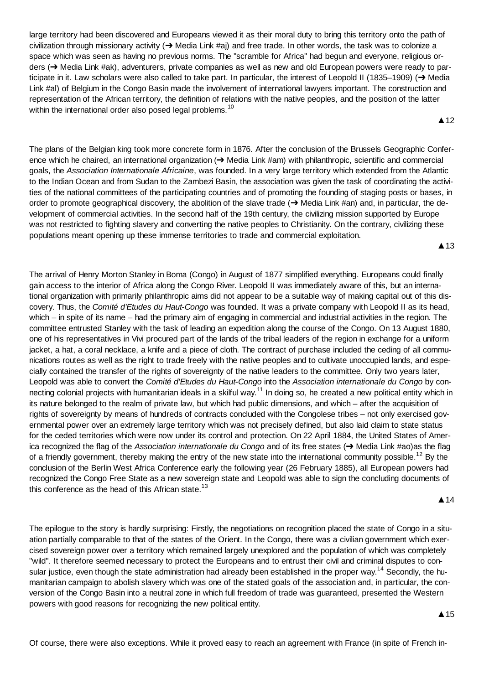large territory had been discovered and Europeans viewed it as their moral duty to bring this territory onto the path of civilization through missionary activity  $\rightarrow$  Media Link #aj) and free trade. In other words, the task was to colonize a space which was seen as having no previous norms. The "scramble for Africa" had begun and everyone, religious orders (→ Media Link #ak), adventurers, private companies as well as new and old European powers were ready to participate in it. Law scholars were also called to take part. In particular, the interest of Leopold II (1835–1909) ( $\rightarrow$  Media Link #al) of Belgium in the Congo Basin made the involvement of international lawyers important. The construction and representation of the African territory, the definition of relations with the native peoples, and the position of the latter within the international order also posed legal problems.<sup>10</sup>

The plans of the Belgian king took more concrete form in 1876. After the conclusion of the Brussels Geographic Conference which he chaired, an international organization (→ Media Link #am) with philanthropic, scientific and commercial goals, the *Association Internationale Africaine*, was founded. In a very large territory which extended from the Atlantic to the Indian Ocean and from Sudan to the Zambezi Basin, the association was given the task of coordinating the activities of the national committees of the participating countries and of promoting the founding of staging posts or bases, in order to promote geographical discovery, the abolition of the slave trade  $\rightarrow$  Media Link #an) and, in particular, the development of commercial activities. In the second half of the 19th century, the civilizing mission supported by Europe was not restricted to fighting slavery and converting the native peoples to Christianity. On the contrary, civilizing these populations meant opening up these immense territories to trade and commercial exploitation.

 $\triangle$  13

**▲12** 

The arrival of Henry Morton Stanley in Boma (Congo) in August of 1877 simplified everything. Europeans could finally gain access to the interior of Africa along the Congo River. Leopold II was immediately aware of this, but an international organization with primarily philanthropic aims did not appear to be a suitable way of making capital out of this discovery. Thus, the *Comité d'Etudes du Haut-Congo* was founded. It was a private company with Leopold II as its head, which – in spite of its name – had the primary aim of engaging in commercial and industrial activities in the region. The committee entrusted Stanley with the task of leading an expedition along the course of the Congo. On 13 August 1880, one of his representatives in Vivi procured part of the lands of the tribal leaders of the region in exchange for a uniform jacket, a hat, a coral necklace, a knife and a piece of cloth. The contract of purchase included the ceding of all communications routes as well as the right to trade freely with the native peoples and to cultivate unoccupied lands, and especially contained the transfer of the rights of sovereignty of the native leaders to the committee. Only two years later, Leopold was able to convert the *Comité d'Etudes du Haut-Congo* into the *Association internationale du Congo* by connecting colonial projects with humanitarian ideals in a skilful way.<sup>11</sup> In doing so, he created a new political entity which in its nature belonged to the realm of private law, but which had public dimensions, and which – after the acquisition of rights of sovereignty by means of hundreds of contracts concluded with the Congolese tribes – not only exercised governmental power over an extremely large territory which was not precisely defined, but also laid claim to state status for the ceded territories which were now under its control and protection. On 22 April 1884, the United States of America recognized the flag of the *Association internationale du Congo* and of its free states (→ Media Link #ao)as the flag of a friendly government, thereby making the entry of the new state into the international community possible.<sup>12</sup> By the conclusion of the Berlin West Africa Conference early the following year (26 February 1885), all European powers had recognized the Congo Free State as a new sovereign state and Leopold was able to sign the concluding documents of this conference as the head of this African state.<sup>13</sup>

#### **▲14**

The epilogue to the story is hardly surprising: Firstly, the negotiations on recognition placed the state of Congo in a situation partially comparable to that of the states of the Orient. In the Congo, there was a civilian government which exercised sovereign power over a territory which remained largely unexplored and the population of which was completely "wild". It therefore seemed necessary to protect the Europeans and to entrust their civil and criminal disputes to consular justice, even though the state administration had already been established in the proper way.<sup>14</sup> Secondly, the humanitarian campaign to abolish slavery which was one of the stated goals of the association and, in particular, the conversion of the Congo Basin into a neutral zone in which full freedom of trade was guaranteed, presented the Western powers with good reasons for recognizing the new political entity.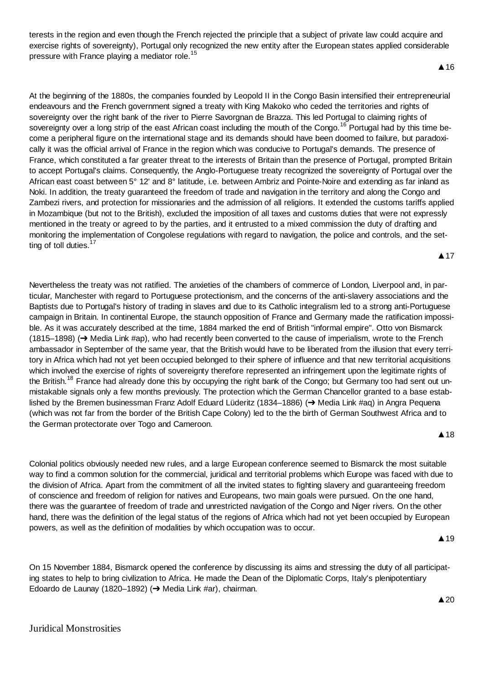terests in the region and even though the French rejected the principle that a subject of private law could acquire and exercise rights of sovereignty), Portugal only recognized the new entity after the European states applied considerable pressure with France playing a mediator role.<sup>15</sup>

At the beginning of the 1880s, the companies founded by Leopold II in the Congo Basin intensified their entrepreneurial endeavours and the French government signed a treaty with King Makoko who ceded the territories and rights of sovereignty over the right bank of the river to Pierre Savorgnan de Brazza. This led Portugal to claiming rights of sovereignty over a long strip of the east African coast including the mouth of the Congo.<sup>16</sup> Portugal had by this time become a peripheral figure on the international stage and its demands should have been doomed to failure, but paradoxically it was the official arrival of France in the region which was conducive to Portugal's demands. The presence of France, which constituted a far greater threat to the interests of Britain than the presence of Portugal, prompted Britain to accept Portugal's claims. Consequently, the Anglo-Portuguese treaty recognized the sovereignty of Portugal over the African east coast between 5° 12' and 8° latitude, i.e. between Ambriz and Pointe-Noire and extending as far inland as Noki. In addition, the treaty guaranteed the freedom of trade and navigation in the territory and along the Congo and Zambezi rivers, and protection for missionaries and the admission of all religions. It extended the customs tariffs applied in Mozambique (but not to the British), excluded the imposition of all taxes and customs duties that were not expressly mentioned in the treaty or agreed to by the parties, and it entrusted to a mixed commission the duty of drafting and monitoring the implementation of Congolese regulations with regard to navigation, the police and controls, and the setting of toll duties.<sup>17</sup> ▲ 17

Nevertheless the treaty was not ratified. The anxieties of the chambers of commerce of London, Liverpool and, in particular, Manchester with regard to Portuguese protectionism, and the concerns of the anti-slavery associations and the Baptists due to Portugal's history of trading in slaves and due to its Catholic integralism led to a strong anti-Portuguese campaign in Britain. In continental Europe, the staunch opposition of France and Germany made the ratification impossible. As it was accurately described at the time, 1884 marked the end of British "informal empire". Otto von Bismarck  $(1815–1898)$  ( $\rightarrow$  Media Link #ap), who had recently been converted to the cause of imperialism, wrote to the French ambassador in September of the same year, that the British would have to be liberated from the illusion that every territory in Africa which had not yet been occupied belonged to their sphere of influence and that new territorial acquisitions which involved the exercise of rights of sovereignty therefore represented an infringement upon the legitimate rights of the British.<sup>18</sup> France had already done this by occupying the right bank of the Congo; but Germany too had sent out unmistakable signals only a few months previously. The protection which the German Chancellor granted to a base established by the Bremen businessman Franz Adolf Eduard Lüderitz (1834–1886) (→ Media Link #aq) in Angra Pequena (which was not far from the border of the British Cape Colony) led to the the birth of German Southwest Africa and to the German protectorate over Togo and Cameroon.

**A** 18

Colonial politics obviously needed new rules, and a large European conference seemed to Bismarck the most suitable way to find a common solution for the commercial, juridical and territorial problems which Europe was faced with due to the division of Africa. Apart from the commitment of all the invited states to fighting slavery and guaranteeing freedom of conscience and freedom of religion for natives and Europeans, two main goals were pursued. On the one hand, there was the guarantee of freedom of trade and unrestricted navigation of the Congo and Niger rivers. On the other hand, there was the definition of the legal status of the regions of Africa which had not yet been occupied by European powers, as well as the definition of modalities by which occupation was to occur.

▲ 19

 $\triangle 20$ 

On 15 November 1884, Bismarck opened the conference by discussing its aims and stressing the duty of all participating states to help to bring civilization to Africa. He made the Dean of the Diplomatic Corps, Italy's plenipotentiary Edoardo de Launay (1820–1892) (→ Media Link #ar), chairman.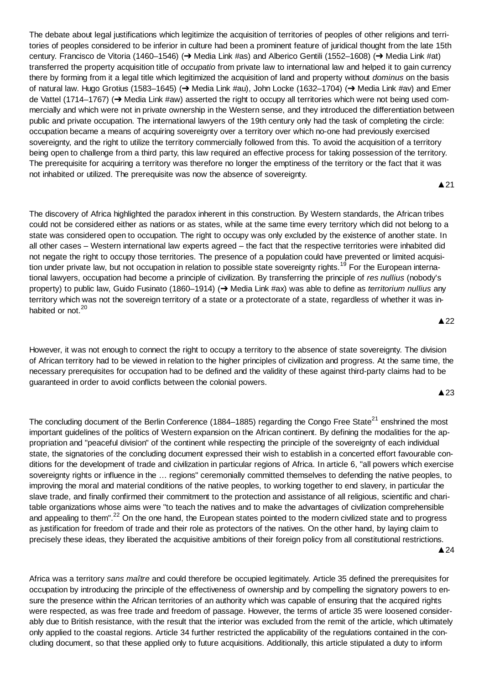The debate about legal justifications which legitimize the acquisition of territories of peoples of other religions and territories of peoples considered to be inferior in culture had been a prominent feature of juridical thought from the late 15th century. Francisco de Vitoria (1460–1546) ( $\rightarrow$  Media Link #as) and Alberico Gentili (1552–1608) ( $\rightarrow$  Media Link #at) transferred the property acquisition title of *occupatio* from private law to international law and helped it to gain currency there by forming from it a legal title which legitimized the acquisition of land and property without *dominus* on the basis of natural law. Hugo Grotius (1583–1645) (→ Media Link #au), John Locke (1632–1704) (→ Media Link #av) and Emer de Vattel (1714–1767) ( $\rightarrow$  Media Link #aw) asserted the right to occupy all territories which were not being used commercially and which were not in private ownership in the Western sense, and they introduced the differentiation between public and private occupation. The international lawyers of the 19th century only had the task of completing the circle: occupation became a means of acquiring sovereignty over a territory over which no-one had previously exercised sovereignty, and the right to utilize the territory commercially followed from this. To avoid the acquisition of a territory being open to challenge from a third party, this law required an effective process for taking possession of the territory. The prerequisite for acquiring a territory was therefore no longer the emptiness of the territory or the fact that it was not inhabited or utilized. The prerequisite was now the absence of sovereignty.

 $\triangle$  21

The discovery of Africa highlighted the paradox inherent in this construction. By Western standards, the African tribes could not be considered either as nations or as states, while at the same time every territory which did not belong to a state was considered open to occupation. The right to occupy was only excluded by the existence of another state. In all other cases – Western international law experts agreed – the fact that the respective territories were inhabited did not negate the right to occupy those territories. The presence of a population could have prevented or limited acquisition under private law, but not occupation in relation to possible state sovereignty rights.<sup>19</sup> For the European international lawyers, occupation had become a principle of civilization. By transferring the principle of *res nullius* (nobody's property) to public law, Guido Fusinato (1860–1914) (→ Media Link #ax) was able to define as *territorium nullius* any territory which was not the sovereign territory of a state or a protectorate of a state, regardless of whether it was inhabited or not.<sup>20</sup>

However, it was not enough to connect the right to occupy a territory to the absence of state sovereignty. The division of African territory had to be viewed in relation to the higher principles of civilization and progress. At the same time, the necessary prerequisites for occupation had to be defined and the validity of these against third-party claims had to be guaranteed in order to avoid conflicts between the colonial powers.

 $\triangle$  23

The concluding document of the Berlin Conference (1884–1885) regarding the Congo Free State<sup>21</sup> enshrined the most important guidelines of the politics of Western expansion on the African continent. By defining the modalities for the appropriation and "peaceful division" of the continent while respecting the principle of the sovereignty of each individual state, the signatories of the concluding document expressed their wish to establish in a concerted effort favourable conditions for the development of trade and civilization in particular regions of Africa. In article 6, "all powers which exercise sovereignty rights or influence in the … regions" ceremonially committed themselves to defending the native peoples, to improving the moral and material conditions of the native peoples, to working together to end slavery, in particular the slave trade, and finally confirmed their commitment to the protection and assistance of all religious, scientific and charitable organizations whose aims were "to teach the natives and to make the advantages of civilization comprehensible and appealing to them".<sup>22</sup> On the one hand, the European states pointed to the modern civilized state and to progress as justification for freedom of trade and their role as protectors of the natives. On the other hand, by laying claim to precisely these ideas, they liberated the acquisitive ambitions of their foreign policy from all constitutional restrictions.  $\triangle$  24

Africa was a territory *sans maître* and could therefore be occupied legitimately. Article 35 defined the prerequisites for occupation by introducing the principle of the effectiveness of ownership and by compelling the signatory powers to ensure the presence within the African territories of an authority which was capable of ensuring that the acquired rights were respected, as was free trade and freedom of passage. However, the terms of article 35 were loosened considerably due to British resistance, with the result that the interior was excluded from the remit of the article, which ultimately only applied to the coastal regions. Article 34 further restricted the applicability of the regulations contained in the concluding document, so that these applied only to future acquisitions. Additionally, this article stipulated a duty to inform

# $\triangle$  22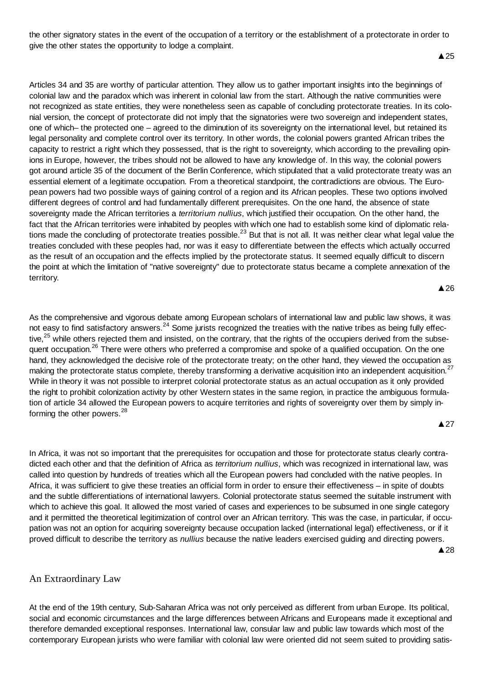the other signatory states in the event of the occupation of a territory or the establishment of a protectorate in order to give the other states the opportunity to lodge a complaint.

 $\triangle$  25

Articles 34 and 35 are worthy of particular attention. They allow us to gather important insights into the beginnings of colonial law and the paradox which was inherent in colonial law from the start. Although the native communities were not recognized as state entities, they were nonetheless seen as capable of concluding protectorate treaties. In its colonial version, the concept of protectorate did not imply that the signatories were two sovereign and independent states, one of which– the protected one – agreed to the diminution of its sovereignty on the international level, but retained its legal personality and complete control over its territory. In other words, the colonial powers granted African tribes the capacity to restrict a right which they possessed, that is the right to sovereignty, which according to the prevailing opinions in Europe, however, the tribes should not be allowed to have any knowledge of. In this way, the colonial powers got around article 35 of the document of the Berlin Conference, which stipulated that a valid protectorate treaty was an essential element of a legitimate occupation. From a theoretical standpoint, the contradictions are obvious. The European powers had two possible ways of gaining control of a region and its African peoples. These two options involved different degrees of control and had fundamentally different prerequisites. On the one hand, the absence of state sovereignty made the African territories a *territorium nullius*, which justified their occupation. On the other hand, the fact that the African territories were inhabited by peoples with which one had to establish some kind of diplomatic relations made the concluding of protectorate treaties possible. $^{23}$  But that is not all. It was neither clear what legal value the treaties concluded with these peoples had, nor was it easy to differentiate between the effects which actually occurred as the result of an occupation and the effects implied by the protectorate status. It seemed equally difficult to discern the point at which the limitation of "native sovereignty" due to protectorate status became a complete annexation of the territory.

 $\triangle$  26

As the comprehensive and vigorous debate among European scholars of international law and public law shows, it was not easy to find satisfactory answers.<sup>24</sup> Some jurists recognized the treaties with the native tribes as being fully effective,<sup>25</sup> while others rejected them and insisted, on the contrary, that the rights of the occupiers derived from the subsequent occupation.<sup>26</sup> There were others who preferred a compromise and spoke of a qualified occupation. On the one hand, they acknowledged the decisive role of the protectorate treaty; on the other hand, they viewed the occupation as making the protectorate status complete, thereby transforming a derivative acquisition into an independent acquisition.<sup>27</sup> While in theory it was not possible to interpret colonial protectorate status as an actual occupation as it only provided the right to prohibit colonization activity by other Western states in the same region, in practice the ambiguous formulation of article 34 allowed the European powers to acquire territories and rights of sovereignty over them by simply informing the other powers.<sup>28</sup>

**A** 27

In Africa, it was not so important that the prerequisites for occupation and those for protectorate status clearly contradicted each other and that the definition of Africa as *territorium nullius*, which was recognized in international law, was called into question by hundreds of treaties which all the European powers had concluded with the native peoples. In Africa, it was sufficient to give these treaties an official form in order to ensure their effectiveness – in spite of doubts and the subtle differentiations of international lawyers. Colonial protectorate status seemed the suitable instrument with which to achieve this goal. It allowed the most varied of cases and experiences to be subsumed in one single category and it permitted the theoretical legitimization of control over an African territory. This was the case, in particular, if occupation was not an option for acquiring sovereignty because occupation lacked (international legal) effectiveness, or if it proved difficult to describe the territory as *nullius* because the native leaders exercised guiding and directing powers. **▲28** 

# An Extraordinary Law

At the end of the 19th century, Sub-Saharan Africa was not only perceived as different from urban Europe. Its political, social and economic circumstances and the large differences between Africans and Europeans made it exceptional and therefore demanded exceptional responses. International law, consular law and public law towards which most of the contemporary European jurists who were familiar with colonial law were oriented did not seem suited to providing satis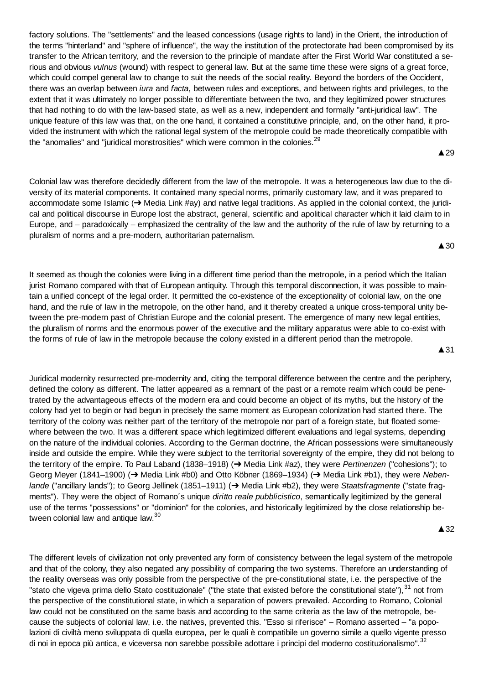factory solutions. The "settlements" and the leased concessions (usage rights to land) in the Orient, the introduction of the terms "hinterland" and "sphere of influence", the way the institution of the protectorate had been compromised by its transfer to the African territory, and the reversion to the principle of mandate after the First World War constituted a serious and obvious *vulnus* (wound) with respect to general law. But at the same time these were signs of a great force, which could compel general law to change to suit the needs of the social reality. Beyond the borders of the Occident, there was an overlap between *iura* and *facta*, between rules and exceptions, and between rights and privileges, to the extent that it was ultimately no longer possible to differentiate between the two, and they legitimized power structures that had nothing to do with the law-based state, as well as a new, independent and formally "anti-juridical law". The unique feature of this law was that, on the one hand, it contained a constitutive principle, and, on the other hand, it provided the instrument with which the rational legal system of the metropole could be made theoretically compatible with the "anomalies" and "juridical monstrosities" which were common in the colonies.<sup>29</sup>

Colonial law was therefore decidedly different from the law of the metropole. It was a heterogeneous law due to the diversity of its material components. It contained many special norms, primarily customary law, and it was prepared to accommodate some Islamic ( $\rightarrow$  Media Link #ay) and native legal traditions. As applied in the colonial context, the juridical and political discourse in Europe lost the abstract, general, scientific and apolitical character which it laid claim to in Europe, and – paradoxically – emphasized the centrality of the law and the authority of the rule of law by returning to a pluralism of norms and a pre-modern, authoritarian paternalism.

It seemed as though the colonies were living in a different time period than the metropole, in a period which the Italian jurist Romano compared with that of European antiquity. Through this temporal disconnection, it was possible to maintain a unified concept of the legal order. It permitted the co-existence of the exceptionality of colonial law, on the one hand, and the rule of law in the metropole, on the other hand, and it thereby created a unique cross-temporal unity between the pre-modern past of Christian Europe and the colonial present. The emergence of many new legal entities, the pluralism of norms and the enormous power of the executive and the military apparatus were able to co-exist with the forms of rule of law in the metropole because the colony existed in a different period than the metropole.

**▲31** 

▲ 29

 $\triangle$  30

Juridical modernity resurrected pre-modernity and, citing the temporal difference between the centre and the periphery, defined the colony as different. The latter appeared as a remnant of the past or a remote realm which could be penetrated by the advantageous effects of the modern era and could become an object of its myths, but the history of the colony had yet to begin or had begun in precisely the same moment as European colonization had started there. The territory of the colony was neither part of the territory of the metropole nor part of a foreign state, but floated somewhere between the two. It was a different space which legitimized different evaluations and legal systems, depending on the nature of the individual colonies. According to the German doctrine, the African possessions were simultaneously inside and outside the empire. While they were subject to the territorial sovereignty of the empire, they did not belong to the territory of the empire. To Paul Laband (1838–1918) (→ Media Link #az), they were *Pertinenzen* ("cohesions"); to Georg Meyer (1841–1900) (→ Media Link #b0) and Otto Köbner (1869–1934) (→ Media Link #b1), they were *Nebenlande* ("ancillary lands"); to Georg Jellinek (1851–1911) (→ Media Link #b2), they were *Staatsfragmente* ("state fragments"). They were the object of Romano´s unique *diritto reale pubblicistico*, semantically legitimized by the general use of the terms "possessions" or "dominion" for the colonies, and historically legitimized by the close relationship between colonial law and antique law.<sup>30</sup>

▲32

The different levels of civilization not only prevented any form of consistency between the legal system of the metropole and that of the colony, they also negated any possibility of comparing the two systems. Therefore an understanding of the reality overseas was only possible from the perspective of the pre-constitutional state, i.e. the perspective of the "stato che vigeva prima dello Stato costituzionale" ("the state that existed before the constitutional state"),<sup>31</sup> not from the perspective of the constitutional state, in which a separation of powers prevailed. According to Romano, Colonial law could not be constituted on the same basis and according to the same criteria as the law of the metropole, because the subjects of colonial law, i.e. the natives, prevented this. "Esso si riferisce" – Romano asserted – "a popolazioni di civiltà meno sviluppata di quella europea, per le quali è compatibile un governo simile a quello vigente presso di noi in epoca più antica, e viceversa non sarebbe possibile adottare i principi del moderno costituzionalismo".<sup>32</sup>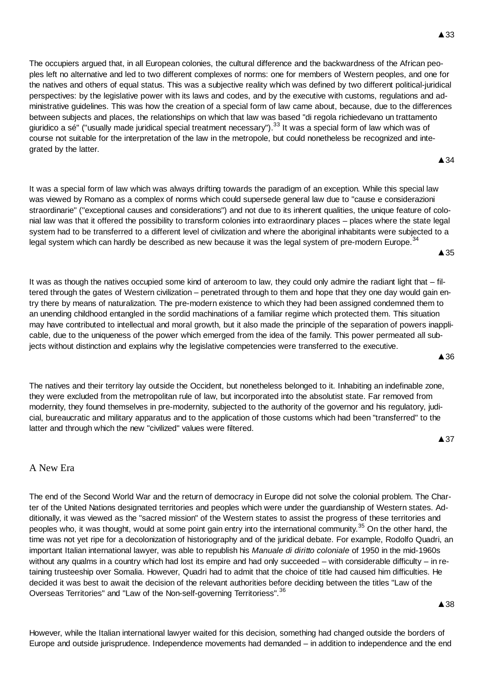The occupiers argued that, in all European colonies, the cultural difference and the backwardness of the African peoples left no alternative and led to two different complexes of norms: one for members of Western peoples, and one for the natives and others of equal status. This was a subjective reality which was defined by two different political-juridical perspectives: by the legislative power with its laws and codes, and by the executive with customs, regulations and administrative guidelines. This was how the creation of a special form of law came about, because, due to the differences between subjects and places, the relationships on which that law was based "di regola richiedevano un trattamento giuridico a sé" ("usually made juridical special treatment necessary").<sup>33</sup> It was a special form of law which was of course not suitable for the interpretation of the law in the metropole, but could nonetheless be recognized and integrated by the latter.

**A** 34

 $\triangle$  35

It was a special form of law which was always drifting towards the paradigm of an exception. While this special law was viewed by Romano as a complex of norms which could supersede general law due to "cause e considerazioni straordinarie" ("exceptional causes and considerations") and not due to its inherent qualities, the unique feature of colonial law was that it offered the possibility to transform colonies into extraordinary places – places where the state legal system had to be transferred to a different level of civilization and where the aboriginal inhabitants were subjected to a legal system which can hardly be described as new because it was the legal system of pre-modern Europe.<sup>34</sup>

It was as though the natives occupied some kind of anteroom to law, they could only admire the radiant light that – filtered through the gates of Western civilization – penetrated through to them and hope that they one day would gain entry there by means of naturalization. The pre-modern existence to which they had been assigned condemned them to an unending childhood entangled in the sordid machinations of a familiar regime which protected them. This situation may have contributed to intellectual and moral growth, but it also made the principle of the separation of powers inapplicable, due to the uniqueness of the power which emerged from the idea of the family. This power permeated all subjects without distinction and explains why the legislative competencies were transferred to the executive.

The natives and their territory lay outside the Occident, but nonetheless belonged to it. Inhabiting an indefinable zone, they were excluded from the metropolitan rule of law, but incorporated into the absolutist state. Far removed from modernity, they found themselves in pre-modernity, subjected to the authority of the governor and his regulatory, judicial, bureaucratic and military apparatus and to the application of those customs which had been "transferred" to the latter and through which the new "civilized" values were filtered.

**▲37** 

 $\triangle$  36

# A New Era

The end of the Second World War and the return of democracy in Europe did not solve the colonial problem. The Charter of the United Nations designated territories and peoples which were under the guardianship of Western states. Additionally, it was viewed as the "sacred mission" of the Western states to assist the progress of these territories and peoples who, it was thought, would at some point gain entry into the international community.<sup>35</sup> On the other hand, the time was not yet ripe for a decolonization of historiography and of the juridical debate. For example, Rodolfo Quadri, an important Italian international lawyer, was able to republish his *Manuale di diritto coloniale* of 1950 in the mid-1960s without any qualms in a country which had lost its empire and had only succeeded – with considerable difficulty – in retaining trusteeship over Somalia. However, Quadri had to admit that the choice of title had caused him difficulties. He decided it was best to await the decision of the relevant authorities before deciding between the titles "Law of the Overseas Territories" and "Law of the Non-self-governing Territoriess".<sup>36</sup>

**▲38** 

However, while the Italian international lawyer waited for this decision, something had changed outside the borders of Europe and outside jurisprudence. Independence movements had demanded – in addition to independence and the end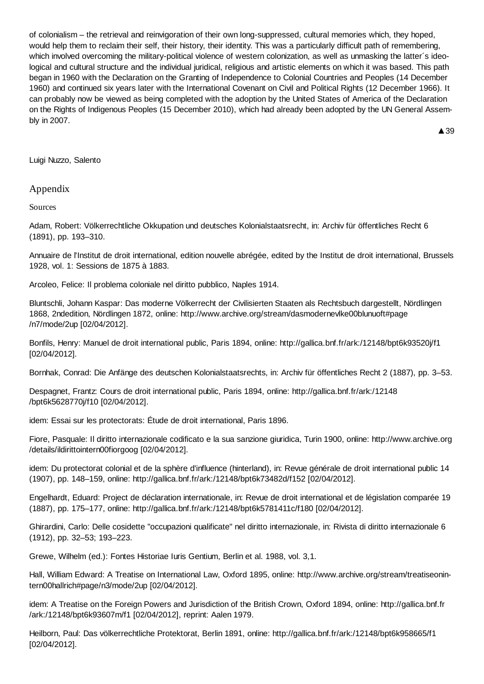of colonialism – the retrieval and reinvigoration of their own long-suppressed, cultural memories which, they hoped, would help them to reclaim their self, their history, their identity. This was a particularly difficult path of remembering, which involved overcoming the military-political violence of western colonization, as well as unmasking the latter´s ideological and cultural structure and the individual juridical, religious and artistic elements on which it was based. This path began in 1960 with the Declaration on the Granting of Independence to Colonial Countries and Peoples (14 December 1960) and continued six years later with the International Covenant on Civil and Political Rights (12 December 1966). It can probably now be viewed as being completed with the adoption by the United States of America of the Declaration on the Rights of Indigenous Peoples (15 December 2010), which had already been adopted by the UN General Assembly in 2007.

▲ 39

Luigi Nuzzo, Salento

## Appendix

Sources

Adam, Robert: Völkerrechtliche Okkupation und deutsches Kolonialstaatsrecht, in: Archiv für öffentliches Recht 6 (1891), pp. 193–310.

Annuaire de l'Institut de droit international, edition nouvelle abrégée, edited by the Institut de droit international, Brussels 1928, vol. 1: Sessions de 1875 à 1883.

Arcoleo, Felice: Il problema coloniale nel diritto pubblico, Naples 1914.

Bluntschli, Johann Kaspar: Das moderne Völkerrecht der Civilisierten Staaten als Rechtsbuch dargestellt, Nördlingen 1868, 2ndedition, Nördlingen 1872, online: http://www.archive.org/stream/dasmodernevlke00blunuoft#page /n7/mode/2up [02/04/2012].

Bonfils, Henry: Manuel de droit international public, Paris 1894, online: http://gallica.bnf.fr/ark:/12148/bpt6k93520j/f1 [02/04/2012].

Bornhak, Conrad: Die Anfänge des deutschen Kolonialstaatsrechts, in: Archiv für öffentliches Recht 2 (1887), pp. 3–53.

Despagnet, Frantz: Cours de droit international public, Paris 1894, online: http://gallica.bnf.fr/ark:/12148 /bpt6k5628770j/f10 [02/04/2012].

idem: Essai sur les protectorats: Étude de droit international, Paris 1896.

Fiore, Pasquale: Il diritto internazionale codificato e la sua sanzione giuridica, Turin 1900, online: http://www.archive.org /details/ildirittointern00fiorgoog [02/04/2012].

idem: Du protectorat colonial et de la sphère d'influence (hinterland), in: Revue générale de droit international public 14 (1907), pp. 148–159, online: http://gallica.bnf.fr/ark:/12148/bpt6k73482d/f152 [02/04/2012].

Engelhardt, Eduard: Project de déclaration internationale, in: Revue de droit international et de législation comparée 19 (1887), pp. 175–177, online: http://gallica.bnf.fr/ark:/12148/bpt6k5781411c/f180 [02/04/2012].

Ghirardini, Carlo: Delle cosidette "occupazioni qualificate" nel diritto internazionale, in: Rivista di diritto internazionale 6 (1912), pp. 32–53; 193–223.

Grewe, Wilhelm (ed.): Fontes Historiae Iuris Gentium, Berlin et al. 1988, vol. 3,1.

Hall, William Edward: A Treatise on International Law, Oxford 1895, online: http://www.archive.org/stream/treatiseonintern00hallrich#page/n3/mode/2up [02/04/2012].

idem: A Treatise on the Foreign Powers and Jurisdiction of the British Crown, Oxford 1894, online: http://gallica.bnf.fr /ark:/12148/bpt6k93607m/f1 [02/04/2012], reprint: Aalen 1979.

Heilborn, Paul: Das völkerrechtliche Protektorat, Berlin 1891, online: http://gallica.bnf.fr/ark:/12148/bpt6k958665/f1 [02/04/2012].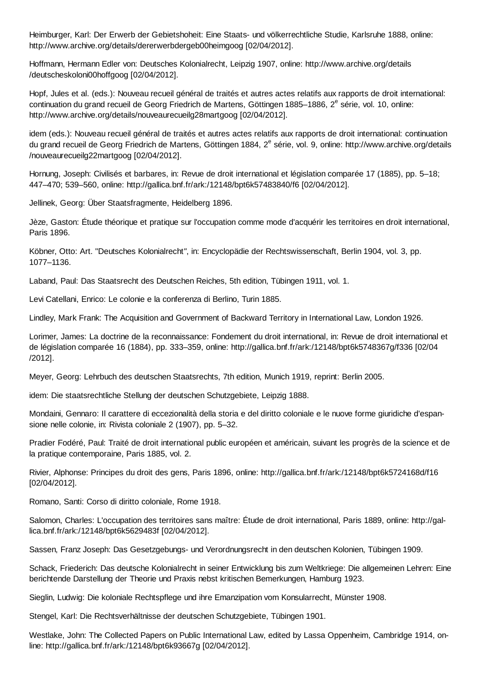Heimburger, Karl: Der Erwerb der Gebietshoheit: Eine Staats- und völkerrechtliche Studie, Karlsruhe 1888, online: http://www.archive.org/details/dererwerbdergeb00heimgoog [02/04/2012].

Hoffmann, Hermann Edler von: Deutsches Kolonialrecht, Leipzig 1907, online: http://www.archive.org/details /deutscheskoloni00hoffgoog [02/04/2012].

Hopf, Jules et al. (eds.): Nouveau recueil général de traités et autres actes relatifs aux rapports de droit international: continuation du grand recueil de Georg Friedrich de Martens, Göttingen 1885-1886, 2<sup>e</sup> série, vol. 10, online: http://www.archive.org/details/nouveaurecueilg28martgoog [02/04/2012].

idem (eds.): Nouveau recueil général de traités et autres actes relatifs aux rapports de droit international: continuation du grand recueil de Georg Friedrich de Martens, Göttingen 1884, 2<sup>e</sup> série, vol. 9, online: http://www.archive.org/details /nouveaurecueilg22martgoog [02/04/2012].

Hornung, Joseph: Civilisés et barbares, in: Revue de droit international et législation comparée 17 (1885), pp. 5–18; 447–470; 539–560, online: http://gallica.bnf.fr/ark:/12148/bpt6k57483840/f6 [02/04/2012].

Jellinek, Georg: Über Staatsfragmente, Heidelberg 1896.

Jèze, Gaston: Étude théorique et pratique sur l'occupation comme mode d'acquérir les territoires en droit international, Paris 1896.

Köbner, Otto: Art. "Deutsches Kolonialrecht*"*, in: Encyclopädie der Rechtswissenschaft, Berlin 1904, vol. 3, pp. 1077–1136.

Laband, Paul: Das Staatsrecht des Deutschen Reiches, 5th edition, Tübingen 1911, vol. 1.

Levi Catellani, Enrico: Le colonie e la conferenza di Berlino, Turin 1885.

Lindley, Mark Frank: The Acquisition and Government of Backward Territory in International Law, London 1926.

Lorimer, James: La doctrine de la reconnaissance: Fondement du droit international, in: Revue de droit international et de législation comparée 16 (1884), pp. 333–359, online: http://gallica.bnf.fr/ark:/12148/bpt6k5748367g/f336 [02/04 /2012].

Meyer, Georg: Lehrbuch des deutschen Staatsrechts, 7th edition, Munich 1919, reprint: Berlin 2005.

idem: Die staatsrechtliche Stellung der deutschen Schutzgebiete, Leipzig 1888.

Mondaini, Gennaro: Il carattere di eccezionalità della storia e del diritto coloniale e le nuove forme giuridiche d'espansione nelle colonie, in: Rivista coloniale 2 (1907), pp. 5–32.

Pradier Fodéré, Paul: Traité de droit international public européen et américain, suivant les progrès de la science et de la pratique contemporaine, Paris 1885, vol. 2.

Rivier, Alphonse: Principes du droit des gens, Paris 1896, online: http://gallica.bnf.fr/ark:/12148/bpt6k5724168d/f16 [02/04/2012].

Romano, Santi: Corso di diritto coloniale, Rome 1918.

Salomon, Charles: L'occupation des territoires sans maître: Étude de droit international, Paris 1889, online: http://gallica.bnf.fr/ark:/12148/bpt6k5629483f [02/04/2012].

Sassen, Franz Joseph: Das Gesetzgebungs- und Verordnungsrecht in den deutschen Kolonien, Tübingen 1909.

Schack, Friederich: Das deutsche Kolonialrecht in seiner Entwicklung bis zum Weltkriege: Die allgemeinen Lehren: Eine berichtende Darstellung der Theorie und Praxis nebst kritischen Bemerkungen, Hamburg 1923.

Sieglin, Ludwig: Die koloniale Rechtspflege und ihre Emanzipation vom Konsularrecht, Münster 1908.

Stengel, Karl: Die Rechtsverhältnisse der deutschen Schutzgebiete, Tübingen 1901.

Westlake, John: The Collected Papers on Public International Law, edited by Lassa Oppenheim, Cambridge 1914, online: http://gallica.bnf.fr/ark:/12148/bpt6k93667g [02/04/2012].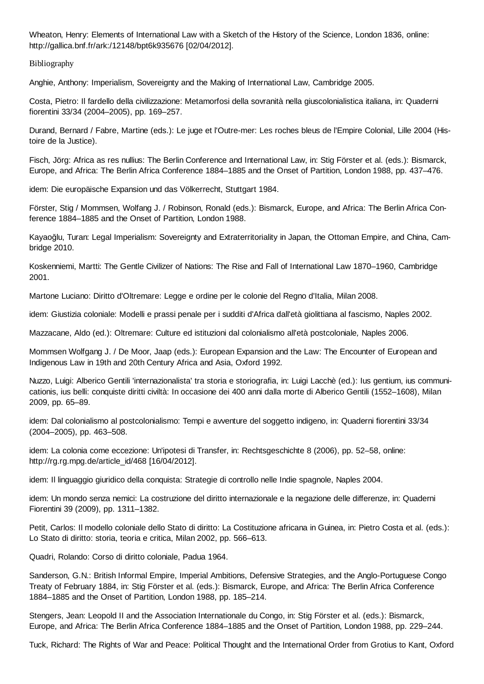Wheaton, Henry: Elements of International Law with a Sketch of the History of the Science, London 1836, online: http://gallica.bnf.fr/ark:/12148/bpt6k935676 [02/04/2012].

Bibliography

Anghie, Anthony: Imperialism, Sovereignty and the Making of International Law, Cambridge 2005.

Costa, Pietro: Il fardello della civilizzazione: Metamorfosi della sovranità nella giuscolonialistica italiana, in: Quaderni fiorentini 33/34 (2004–2005), pp. 169–257.

Durand, Bernard / Fabre, Martine (eds.): Le juge et l'Outre-mer: Les roches bleus de l'Empire Colonial, Lille 2004 (Histoire de la Justice).

Fisch, Jörg: Africa as res nullius: The Berlin Conference and International Law, in: Stig Förster et al. (eds.): Bismarck, Europe, and Africa: The Berlin Africa Conference 1884–1885 and the Onset of Partition, London 1988, pp. 437–476.

idem: Die europäische Expansion und das Völkerrecht, Stuttgart 1984.

Förster, Stig / Mommsen, Wolfang J. / Robinson, Ronald (eds.): Bismarck, Europe, and Africa: The Berlin Africa Conference 1884–1885 and the Onset of Partition, London 1988.

Kayaoğlu, Turan: Legal Imperialism: Sovereignty and Extraterritoriality in Japan, the Ottoman Empire, and China, Cambridge 2010.

Koskenniemi, Martti: The Gentle Civilizer of Nations: The Rise and Fall of International Law 1870–1960, Cambridge 2001.

Martone Luciano: Diritto d'Oltremare: Legge e ordine per le colonie del Regno d'Italia, Milan 2008.

idem: Giustizia coloniale: Modelli e prassi penale per i sudditi d'Africa dall'età giolittiana al fascismo, Naples 2002.

Mazzacane, Aldo (ed.): Oltremare: Culture ed istituzioni dal colonialismo all'età postcoloniale*,* Naples 2006.

Mommsen Wolfgang J. / De Moor, Jaap (eds.): European Expansion and the Law: The Encounter of European and Indigenous Law in 19th and 20th Century Africa and Asia, Oxford 1992.

Nuzzo, Luigi: Alberico Gentili 'internazionalista' tra storia e storiografia, in: Luigi Lacchè (ed.): Ius gentium, ius communicationis, ius belli: conquiste diritti civiltà: In occasione dei 400 anni dalla morte di Alberico Gentili (1552–1608), Milan 2009, pp. 65–89.

idem: Dal colonialismo al postcolonialismo: Tempi e avventure del soggetto indigeno, in: Quaderni fiorentini 33/34 (2004–2005), pp. 463–508.

idem: La colonia come eccezione: Un'ipotesi di Transfer, in: Rechtsgeschichte 8 (2006), pp. 52–58, online: http://rg.rg.mpg.de/article\_id/468 [16/04/2012].

idem: Il linguaggio giuridico della conquista: Strategie di controllo nelle Indie spagnole, Naples 2004.

idem: Un mondo senza nemici: La costruzione del diritto internazionale e la negazione delle differenze, in: Quaderni Fiorentini 39 (2009), pp. 1311–1382.

Petit, Carlos: Il modello coloniale dello Stato di diritto: La Costituzione africana in Guinea, in: Pietro Costa et al. (eds.): Lo Stato di diritto: storia, teoria e critica, Milan 2002, pp. 566–613.

Quadri, Rolando: Corso di diritto coloniale, Padua 1964.

Sanderson, G.N.: British Informal Empire, Imperial Ambitions, Defensive Strategies, and the Anglo-Portuguese Congo Treaty of February 1884, in: Stig Förster et al. (eds.): Bismarck, Europe, and Africa: The Berlin Africa Conference 1884–1885 and the Onset of Partition, London 1988, pp. 185–214.

Stengers, Jean: Leopold II and the Association Internationale du Congo, in: Stig Förster et al. (eds.): Bismarck, Europe, and Africa: The Berlin Africa Conference 1884–1885 and the Onset of Partition, London 1988, pp. 229–244.

Tuck, Richard: The Rights of War and Peace: Political Thought and the International Order from Grotius to Kant, Oxford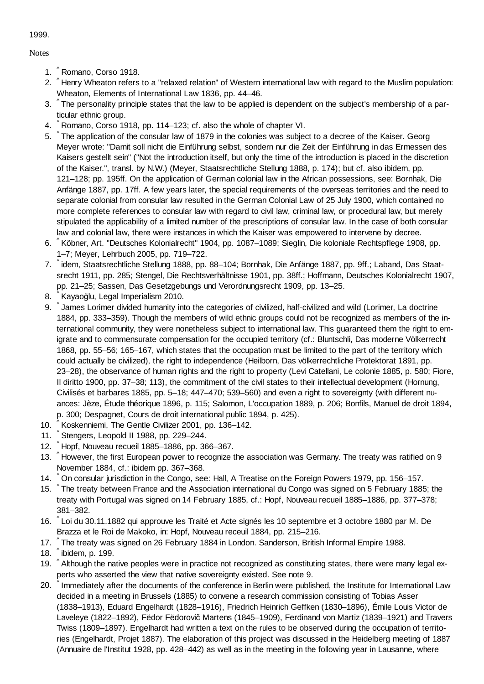1999.

**Notes** 

- ^ 1. Romano, Corso 1918.
- 2. ^Henry Wheaton refers to a "relaxed relation" of Western international law with regard to the Muslim population: Wheaton, Elements of International Law 1836, pp. 44–46.
- 3. ^The personality principle states that the law to be applied is dependent on the subject's membership of a particular ethnic group.
- 4. ^ Romano, Corso 1918, pp. 114–123; cf. also the whole of chapter VI.
- 5. ^The application of the consular law of 1879 in the colonies was subject to a decree of the Kaiser. Georg Meyer wrote: "Damit soll nicht die Einführung selbst, sondern nur die Zeit der Einführung in das Ermessen des Kaisers gestellt sein" ("Not the introduction itself, but only the time of the introduction is placed in the discretion of the Kaiser.", transl. by N.W.) (Meyer, Staatsrechtliche Stellung 1888, p. 174); but cf. also ibidem, pp. 121–128; pp. 195ff. On the application of German colonial law in the African possessions, see: Bornhak, Die Anfänge 1887, pp. 17ff. A few years later, the special requirements of the overseas territories and the need to separate colonial from consular law resulted in the German Colonial Law of 25 July 1900, which contained no more complete references to consular law with regard to civil law, criminal law, or procedural law, but merely stipulated the applicability of a limited number of the prescriptions of consular law. In the case of both consular law and colonial law, there were instances in which the Kaiser was empowered to intervene by decree.
- 6. ^Köbner, Art. "Deutsches Kolonialrecht" 1904, pp. 1087–1089; Sieglin, Die koloniale Rechtspflege 1908, pp. 1–7; Meyer, Lehrbuch 2005, pp. 719–722.
- 7. ^idem, Staatsrechtliche Stellung 1888, pp. 88–104; Bornhak, Die Anfänge 1887, pp. 9ff.; Laband, Das Staatsrecht 1911, pp. 285; Stengel, Die Rechtsverhältnisse 1901, pp. 38ff.; Hoffmann, Deutsches Kolonialrecht 1907, pp. 21–25; Sassen, Das Gesetzgebungs und Verordnungsrecht 1909, pp. 13–25.
- 8. ^Kayaoğlu, Legal Imperialism 2010.
- 9. ^James Lorimer divided humanity into the categories of civilized, half-civilized and wild (Lorimer, La doctrine 1884, pp. 333–359). Though the members of wild ethnic groups could not be recognized as members of the international community, they were nonetheless subject to international law. This guaranteed them the right to emigrate and to commensurate compensation for the occupied territory (cf.: Bluntschli, Das moderne Völkerrecht 1868, pp. 55–56; 165–167, which states that the occupation must be limited to the part of the territory which could actually be civilized), the right to independence (Heilborn, Das völkerrechtliche Protektorat 1891, pp. 23–28), the observance of human rights and the right to property (Levi Catellani, Le colonie 1885, p. 580; Fiore, Il diritto 1900, pp. 37–38; 113), the commitment of the civil states to their intellectual development (Hornung, Civilisés et barbares 1885, pp. 5–18; 447–470; 539–560) and even a right to sovereignty (with different nuances: Jèze, Étude théorique 1896, p. 115; Salomon, L'occupation 1889, p. 206; Bonfils, Manuel de droit 1894, p. 300; Despagnet, Cours de droit international public 1894, p. 425).
- 10. ^ Koskenniemi, The Gentle Civilizer 2001, pp. 136-142.
- ^ 11. Stengers, Leopold II 1988, pp. 229–244.
- ^ 12. Hopf, Nouveau recueil 1885–1886, pp. 366–367.
- 13. ^ However, the first European power to recognize the association was Germany. The treaty was ratified on 9 November 1884, cf.: ibidem pp. 367–368.
- 14. ^ On consular jurisdiction in the Congo, see: Hall, A Treatise on the Foreign Powers 1979, pp. 156–157.
- 15. ^ The treaty between France and the Association international du Congo was signed on 5 February 1885; the treaty with Portugal was signed on 14 February 1885, cf.: Hopf, Nouveau recueil 1885–1886, pp. 377–378; 381–382.
- ^ Loi du 30.11.1882 qui approuve les Traité et Acte signés les 10 septembre et 3 octobre 1880 par M. De 16. Brazza et le Roi de Makoko, in: Hopf, Nouveau receuil 1884, pp. 215–216.
- 17. ^ The treaty was signed on 26 February 1884 in London. Sanderson, British Informal Empire 1988.
- 18.  $\degree$  ibidem, p. 199.
- 19. ^ Although the native peoples were in practice not recognized as constituting states, there were many legal experts who asserted the view that native sovereignty existed. See note 9.
- 20.  $\degree$  Immediately after the documents of the conference in Berlin were published, the Institute for International Law decided in a meeting in Brussels (1885) to convene a research commission consisting of Tobias Asser (1838–1913), Eduard Engelhardt (1828–1916), Friedrich Heinrich Geffken (1830–1896), Émile Louis Victor de Laveleye (1822–1892), Fëdor Fëdorovič Martens (1845–1909), Ferdinand von Martiz (1839–1921) and Travers Twiss (1809–1897). Engelhardt had written a text on the rules to be observed during the occupation of territories (Engelhardt, Projet 1887). The elaboration of this project was discussed in the Heidelberg meeting of 1887 (Annuaire de l'Institut 1928, pp. 428–442) as well as in the meeting in the following year in Lausanne, where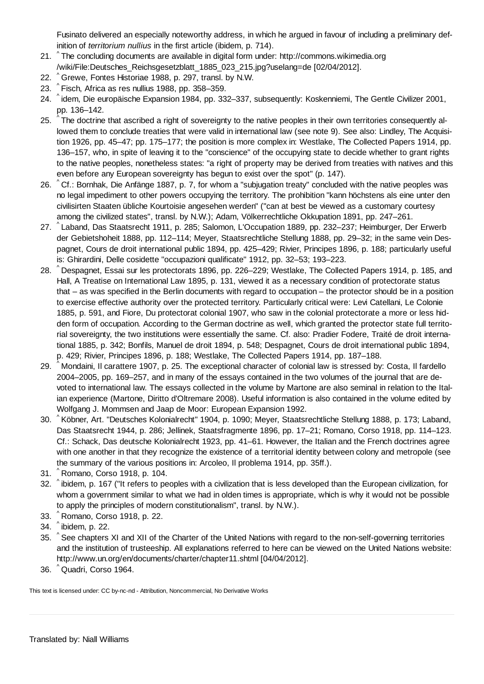Fusinato delivered an especially noteworthy address, in which he argued in favour of including a preliminary definition of *territorium nullius* in the first article (ibidem, p. 714).

- 21. ^The concluding documents are available in digital form under: http://commons.wikimedia.org /wiki/File:Deutsches\_Reichsgesetzblatt\_1885\_023\_215.jpg?uselang=de [02/04/2012].
- 22. ^ Grewe, Fontes Historiae 1988, p. 297, transl. by N.W.
- 23.  $\degree$  Fisch, Africa as res nullius 1988, pp. 358–359.
- ^ idem, Die europäische Expansion 1984, pp. 332–337, subsequently: Koskenniemi, The Gentle Civilizer 2001, 24. pp. 136–142.
- 25. ^ The doctrine that ascribed a right of sovereignty to the native peoples in their own territories consequently allowed them to conclude treaties that were valid in international law (see note 9). See also: Lindley, The Acquisition 1926, pp. 45–47; pp. 175–177; the position is more complex in: Westlake, The Collected Papers 1914, pp. 136–157, who, in spite of leaving it to the "conscience" of the occupying state to decide whether to grant rights to the native peoples, nonetheless states: "a right of property may be derived from treaties with natives and this even before any European sovereignty has begun to exist over the spot" (p. 147).
- 26. ^Cf.: Bornhak, Die Anfänge 1887, p. 7, for whom a "subjugation treaty" concluded with the native peoples was no legal impediment to other powers occupying the territory. The prohibition "kann höchstens als eine unter den civilisirten Staaten übliche Kourtoisie angesehen werden" ("can at best be viewed as a customary courtesy among the civilized states", transl. by N.W.); Adam, Völkerrechtliche Okkupation 1891, pp. 247–261.
- ^ Laband, Das Staatsrecht 1911, p. 285; Salomon, L'Occupation 1889, pp. 232–237; Heimburger, Der Erwerb 27. der Gebietshoheit 1888, pp. 112–114; Meyer, Staatsrechtliche Stellung 1888, pp. 29–32; in the same vein Despagnet, Cours de droit international public 1894, pp. 425–429; Rivier, Principes 1896, p. 188; particularly useful is: Ghirardini, Delle cosidette "occupazioni qualificate" 1912, pp. 32–53; 193–223.
- 28. ^ Despagnet, Essai sur les protectorats 1896, pp. 226–229; Westlake, The Collected Papers 1914, p. 185, and Hall, A Treatise on International Law 1895, p. 131, viewed it as a necessary condition of protectorate status that – as was specified in the Berlin documents with regard to occupation – the protector should be in a position to exercise effective authority over the protected territory. Particularly critical were: Levi Catellani, Le Colonie 1885, p. 591, and Fiore, Du protectorat colonial 1907, who saw in the colonial protectorate a more or less hidden form of occupation. According to the German doctrine as well, which granted the protector state full territorial sovereignty, the two institutions were essentially the same. Cf. also: Pradier Fodere, Traité de droit international 1885, p. 342; Bonfils, Manuel de droit 1894, p. 548; Despagnet, Cours de droit international public 1894, p. 429; Rivier, Principes 1896, p. 188; Westlake, The Collected Papers 1914, pp. 187–188.
- 29. ^Mondaini, Il carattere 1907, p. 25. The exceptional character of colonial law is stressed by: Costa, Il fardello 2004–2005, pp. 169–257, and in many of the essays contained in the two volumes of the journal that are devoted to international law. The essays collected in the volume by Martone are also seminal in relation to the Italian experience (Martone, Diritto d'Oltremare 2008). Useful information is also contained in the volume edited by Wolfgang J. Mommsen and Jaap de Moor: European Expansion 1992.
- 30. ^Köbner, Art. "Deutsches Kolonialrecht" 1904, p. 1090; Meyer, Staatsrechtliche Stellung 1888, p. 173; Laband, Das Staatsrecht 1944, p. 286; Jellinek, Staatsfragmente 1896, pp. 17–21; Romano, Corso 1918, pp. 114–123. Cf.: Schack, Das deutsche Kolonialrecht 1923, pp. 41–61. However, the Italian and the French doctrines agree with one another in that they recognize the existence of a territorial identity between colony and metropole (see the summary of the various positions in: Arcoleo, Il problema 1914, pp. 35ff.).
- 31. ^ Romano, Corso 1918, p. 104.
- 32. ^ibidem, p. 167 ("It refers to peoples with a civilization that is less developed than the European civilization, for whom a government similar to what we had in olden times is appropriate, which is why it would not be possible to apply the principles of modern constitutionalism", transl. by N.W.).
- 33. ^ Romano, Corso 1918, p. 22.
- 34. ^ ibidem, p. 22.
- 35. ^See chapters XI and XII of the Charter of the United Nations with regard to the non-self-governing territories and the institution of trusteeship. All explanations referred to here can be viewed on the United Nations website: http://www.un.org/en/documents/charter/chapter11.shtml [04/04/2012].
- 36. ^Quadri, Corso 1964.

This text is licensed under: CC by-nc-nd - Attribution, Noncommercial, No Derivative Works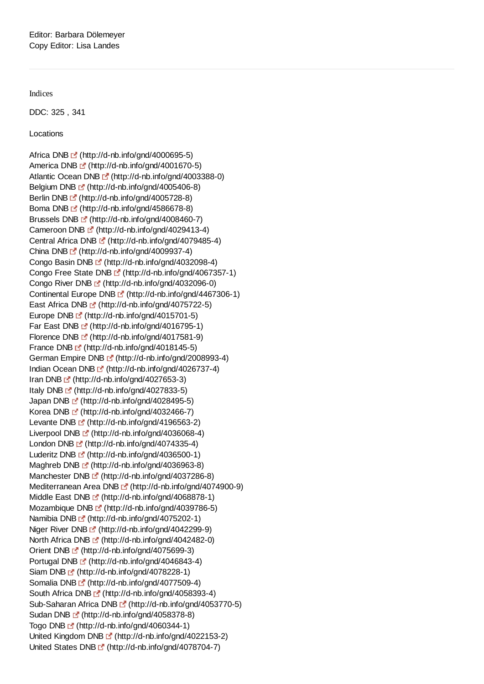Indices

DDC: 325 , 341

Locations

Africa DNB <sup>(\*</sup> (http://d-nb.info/gnd/4000695-5) America DNB C (http://d-nb.info/gnd/4001670-5) Atlantic Ocean DNB  $\mathbb{F}^{\bullet}$  (http://d-nb.info/gnd/4003388-0) Belgium DNB  $\mathbb{E}^{\bullet}$  (http://d-nb.info/gnd/4005406-8) Berlin DNB (http://d-nb.info/gnd/4005728-8) Boma DNB (http://d-nb.info/gnd/4586678-8) Brussels DNB <sup>(\*</sup> (http://d-nb.info/gnd/4008460-7) Cameroon DNB  $\mathbb{F}$  (http://d-nb.info/gnd/4029413-4) Central Africa DNB (http://d-nb.info/gnd/4079485-4) China DNB  $\mathbb{L}^{\bullet}$  (http://d-nb.info/gnd/4009937-4) Congo Basin DNB  $\mathbb{L}^{\bullet}$  (http://d-nb.info/gnd/4032098-4) Congo Free State DNB <sup>[5]</sup> (http://d-nb.info/gnd/4067357-1) Congo River DNB <sup>r</sup> (http://d-nb.info/gnd/4032096-0) Continental Europe DNB [fttp://d-nb.info/gnd/4467306-1) East Africa DNB  $\mathbb{F}$  (http://d-nb.info/gnd/4075722-5) Europe DNB C (http://d-nb.info/gnd/4015701-5) Far East DNB E' (http://d-nb.info/gnd/4016795-1) Florence DNB [fttp://d-nb.info/gnd/4017581-9) France DNB <sup>(\*</sup> (http://d-nb.info/gnd/4018145-5) German Empire DNB <sup>[5]</sup> (http://d-nb.info/gnd/2008993-4) Indian Ocean DNB  $\mathbb{F}$  (http://d-nb.info/gnd/4026737-4) Iran DNB  $\mathbb{F}$  (http://d-nb.info/gnd/4027653-3) Italy DNB  $\mathbb{F}$  (http://d-nb.info/gnd/4027833-5) Japan DNB [2] (http://d-nb.info/gnd/4028495-5) Korea DNB E (http://d-nb.info/gnd/4032466-7) Levante DNB F (http://d-nb.info/gnd/4196563-2) Liverpool DNB <sup>[2]</sup> (http://d-nb.info/gnd/4036068-4) London DNB  $\mathbb{F}$  (http://d-nb.info/gnd/4074335-4) Luderitz DNB F (http://d-nb.info/gnd/4036500-1) Maghreb DNB <sup>r</sup> (http://d-nb.info/gnd/4036963-8) Manchester DNB [4] (http://d-nb.info/gnd/4037286-8) Mediterranean Area DNB [fttp://d-nb.info/gnd/4074900-9) Middle East DNB [fttp://d-nb.info/gnd/4068878-1) Mozambique DNB  $\mathbb{F}$  (http://d-nb.info/gnd/4039786-5) Namibia DNB (http://d-nb.info/gnd/4075202-1) Niger River DNB <sup>(\*</sup> (http://d-nb.info/gnd/4042299-9) North Africa DNB  $\mathbb{F}$  (http://d-nb.info/gnd/4042482-0) Orient DNB [2] (http://d-nb.info/gnd/4075699-3) Portugal DNB  $\blacksquare$  (http://d-nb.info/gnd/4046843-4) Siam DNB (http://d-nb.info/gnd/4078228-1) Somalia DNB [strate] (http://d-nb.info/gnd/4077509-4) South Africa DNB <sup>R</sup> (http://d-nb.info/gnd/4058393-4) Sub-Saharan Africa DNB [ (http://d-nb.info/gnd/4053770-5) Sudan DNB (http://d-nb.info/gnd/4058378-8) Togo DNB F (http://d-nb.info/gnd/4060344-1) United Kingdom DNB [4] (http://d-nb.info/gnd/4022153-2) United States DNB  $\mathbb{F}$  (http://d-nb.info/gnd/4078704-7)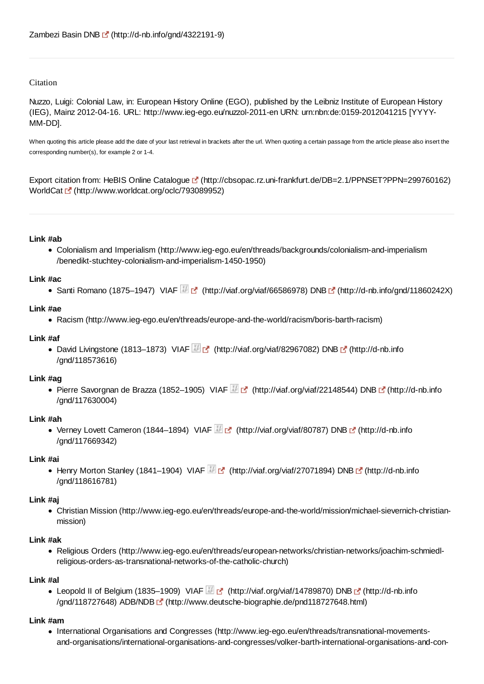## **Citation**

Nuzzo, Luigi: Colonial Law, in: European History Online (EGO), published by the Leibniz Institute of European History (IEG), Mainz 2012-04-16. URL: http://www.ieg-ego.eu/nuzzol-2011-en URN: urn:nbn:de:0159-2012041215 [YYYY-MM-DD].

When quoting this article please add the date of your last retrieval in brackets after the url. When quoting a certain passage from the article please also insert the corresponding number(s), for example 2 or 1-4.

Export citation from: HeBIS Online Catalogue (http://cbsopac.rz.uni-frankfurt.de/DB=2.1/PPNSET?PPN=299760162) WorldCat [f (http://www.worldcat.org/oclc/793089952)

#### **Link #ab**

Colonialism and Imperialism (http://www.ieg-ego.eu/en/threads/backgrounds/colonialism-and-imperialism /benedikt-stuchtey-colonialism-and-imperialism-1450-1950)

#### **Link #ac**

Santi Romano (1875–1947) VIAF (http://viaf.org/viaf/66586978) DNB  $\mathbb{F}$  (http://d-nb.info/gnd/11860242X)

#### **Link #ae**

Racism (http://www.ieg-ego.eu/en/threads/europe-and-the-world/racism/boris-barth-racism)

#### **Link #af**

David Livingstone (1813–1873) VIAF (http://viaf.org/viaf/82967082) DNB (http://d-nb.info /gnd/118573616)

## **Link #ag**

• Pierre Savorgnan de Brazza (1852–1905) VIAF (http://viaf.org/viaf/22148544) DNB [ (http://d-nb.info /gnd/117630004)

## **Link #ah**

• Verney Lovett Cameron (1844–1894) VIAF **Manual (http://viaf.org/viaf/80787)** DNB Manual (http://d-nb.info /gnd/117669342)

#### **Link #ai**

• Henry Morton Stanley (1841–1904) VIAF **(Allegran** (http://viaf.org/viaf/27071894) DNB (http://d-nb.info /gnd/118616781)

## **Link #aj**

Christian Mission (http://www.ieg-ego.eu/en/threads/europe-and-the-world/mission/michael-sievernich-christianmission)

## **Link #ak**

Religious Orders (http://www.ieg-ego.eu/en/threads/european-networks/christian-networks/joachim-schmiedlreligious-orders-as-transnational-networks-of-the-catholic-church)

## **Link #al**

● Leopold II of Belgium (1835–1909) VIAF (http://viaf.org/viaf/14789870) DNB [ (http://d-nb.info /gnd/118727648) ADB/NDB (http://www.deutsche-biographie.de/pnd118727648.html)

## **Link #am**

International Organisations and Congresses (http://www.ieg-ego.eu/en/threads/transnational-movementsand-organisations/international-organisations-and-congresses/volker-barth-international-organisations-and-con-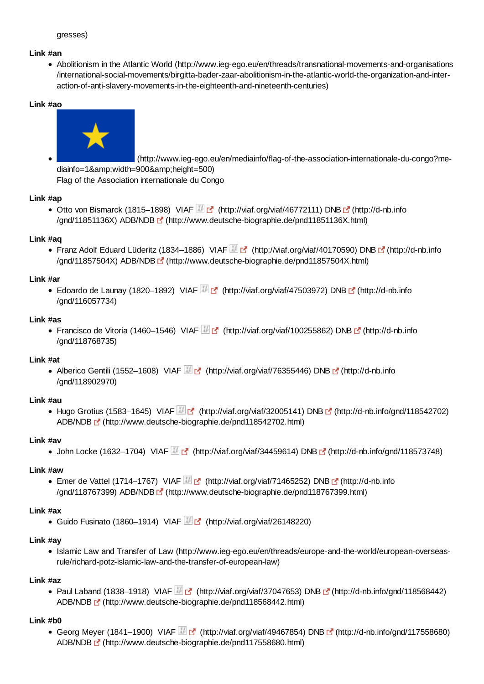## **Link #an**

Abolitionism in the Atlantic World (http://www.ieg-ego.eu/en/threads/transnational-movements-and-organisations /international-social-movements/birgitta-bader-zaar-abolitionism-in-the-atlantic-world-the-organization-and-interaction-of-anti-slavery-movements-in-the-eighteenth-and-nineteenth-centuries)

## **Link #ao**



 (http://www.ieg-ego.eu/en/mediainfo/flag-of-the-association-internationale-du-congo?mediainfo=1&width=900&height=500) Flag of the Association internationale du Congo

#### **Link #ap**

Otto von Bismarck (1815–1898) VIAF (http://viaf.org/viaf/46772111) DNB [5] (http://d-nb.inform /gnd/11851136X) ADB/NDB (http://www.deutsche-biographie.de/pnd11851136X.html)

#### **Link #aq**

● Franz Adolf Eduard Lüderitz (1834–1886) VIAF (http://viaf.org/viaf/40170590) DNB C (http://d-nb.info /gnd/11857504X) ADB/NDB [ (http://www.deutsche-biographie.de/pnd11857504X.html)

## **Link #ar**

■ Edoardo de Launay (1820–1892) VIAF (http://viaf.org/viaf/47503972) DNB (http://d-nb.info /gnd/116057734)

#### **Link #as**

• Francisco de Vitoria (1460–1546) VIAF (http://viaf.org/viaf/100255862) DNB C (http://d-nb.info /gnd/118768735)

## **Link #at**

• Alberico Gentili (1552–1608) VIAF  $\mathbb{H}$  (http://viaf.org/viaf/76355446) DNB  $\mathbb{F}$  (http://d-nb.info /gnd/118902970)

#### **Link #au**

• Hugo Grotius (1583–1645) VIAF (http://viaf.org/viaf/32005141) DNB  $\mathbb{F}$  (http://d-nb.info/gnd/118542702) ADB/NDB (http://www.deutsche-biographie.de/pnd118542702.html)

## **Link #av**

 $\bullet$  John Locke (1632–1704) VIAF (http://viaf.org/viaf/34459614) DNB  $\blacksquare$  (http://d-nb.info/gnd/118573748)

#### **Link #aw**

Emer de Vattel (1714–1767) VIAF  $\mathbb{E}$  (http://viaf.org/viaf/71465252) DNB  $\mathbb{E}$  (http://d-nb.info /gnd/118767399) ADB/NDB (http://www.deutsche-biographie.de/pnd118767399.html)

## **Link #ax**

Guido Fusinato (1860–1914) VIAF  $\mathbb{H}$  of (http://viaf.org/viaf/26148220)

## **Link #ay**

Islamic Law and Transfer of Law (http://www.ieg-ego.eu/en/threads/europe-and-the-world/european-overseasrule/richard-potz-islamic-law-and-the-transfer-of-european-law)

## **Link #az**

• Paul Laband (1838–1918) VIAF  $\mathbb{F}_2$  (http://viaf.org/viaf/37047653) DNB  $\mathbb{F}_2$  (http://d-nb.info/gnd/118568442) ADB/NDB (http://www.deutsche-biographie.de/pnd118568442.html)

## **Link #b0**

Georg Meyer (1841–1900) VIAF (http://viaf.org/viaf/49467854) DNB [ (http://d-nb.info/gnd/117558680) ADB/NDB (http://www.deutsche-biographie.de/pnd117558680.html)